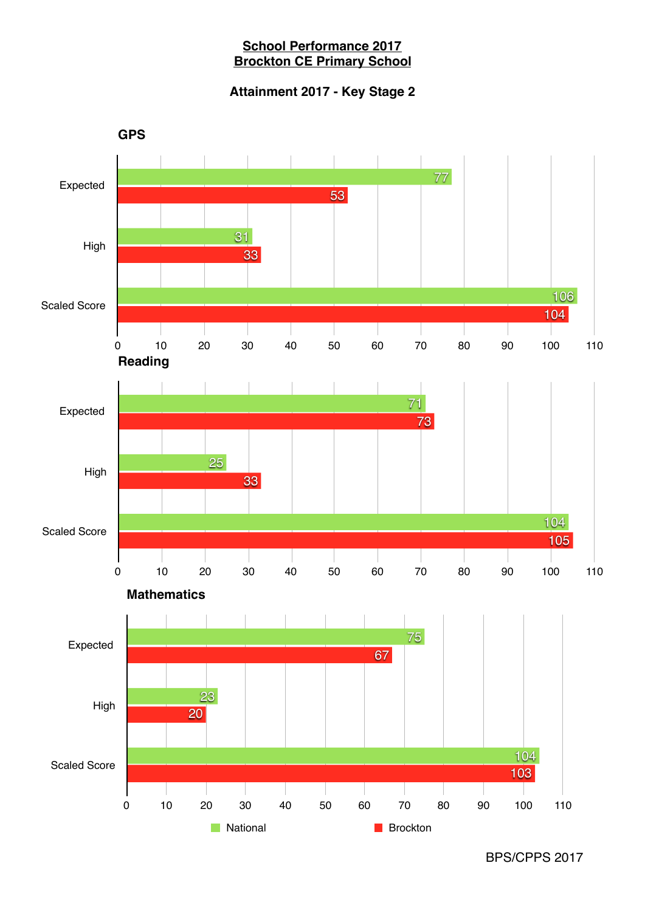## **School Performance 2017 Brockton CE Primary School**

# **Attainment 2017 - Key Stage 2**

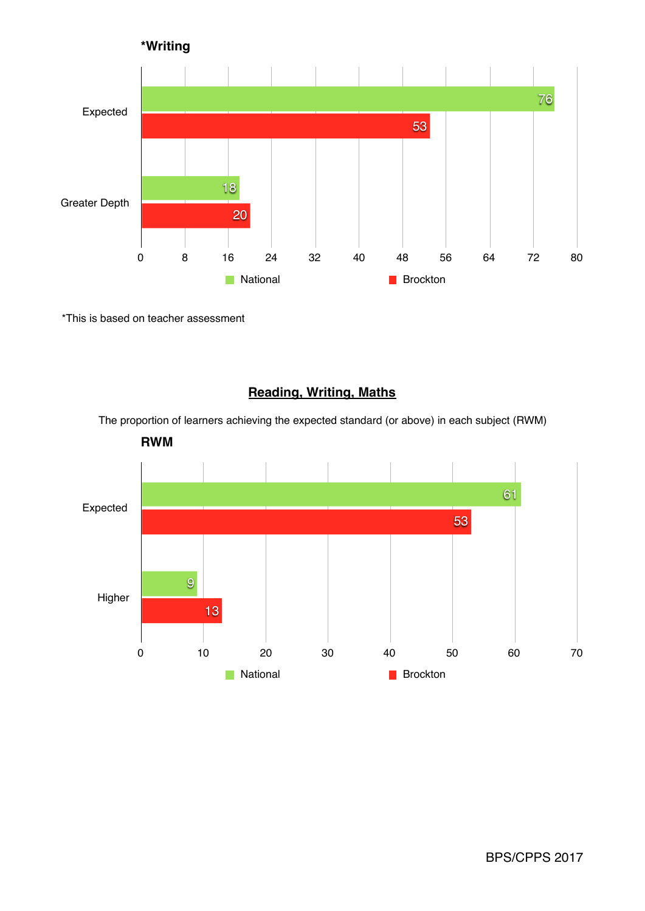

\*This is based on teacher assessment

# **Reading, Writing, Maths**

The proportion of learners achieving the expected standard (or above) in each subject (RWM)



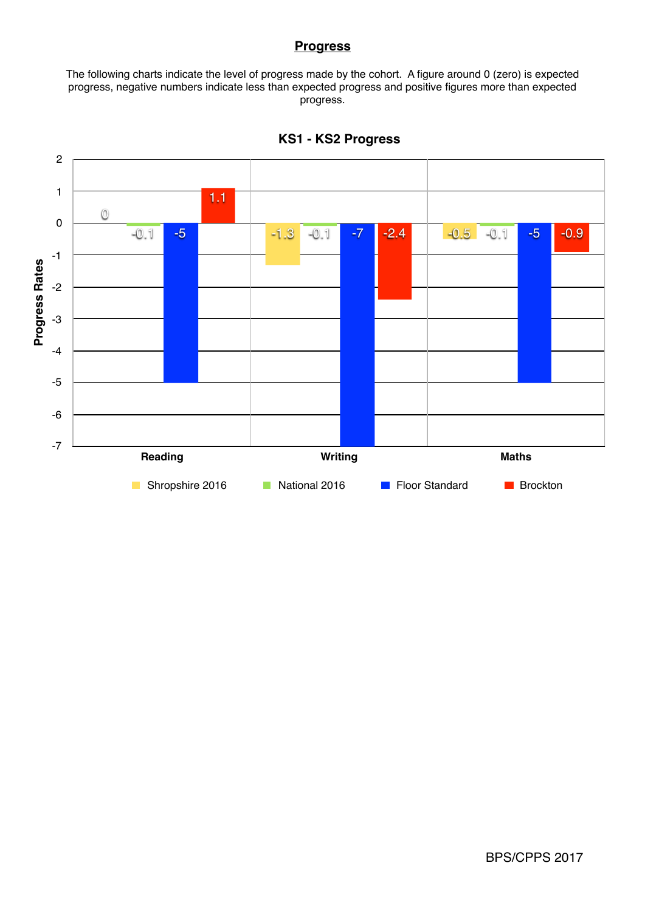#### **Progress**

The following charts indicate the level of progress made by the cohort. A figure around 0 (zero) is expected progress, negative numbers indicate less than expected progress and positive figures more than expected progress.



**KS1 - KS2 Progress**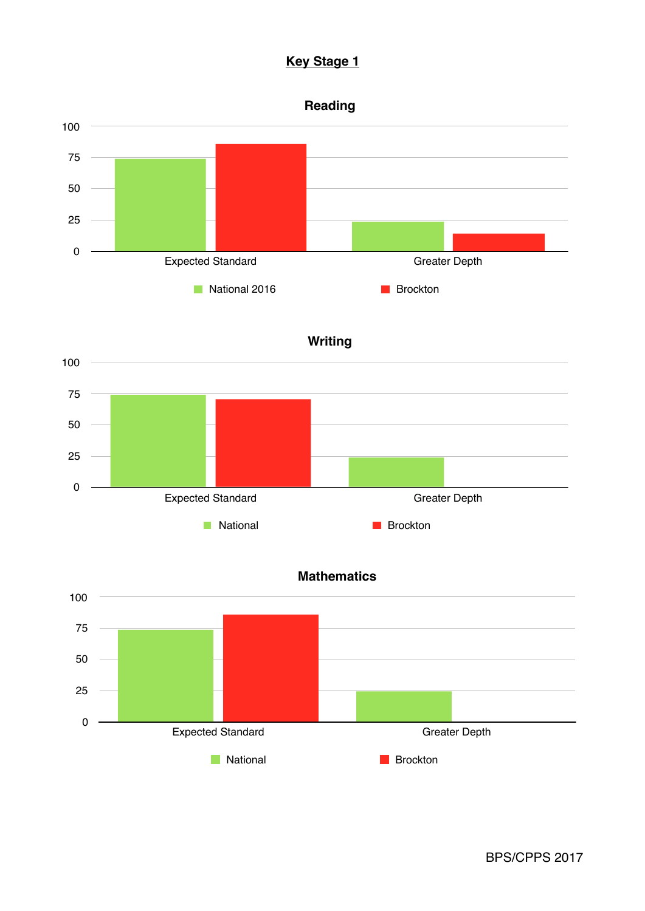# **Key Stage 1**









Expected Standard Greater Depth

**National Brockton** 

0